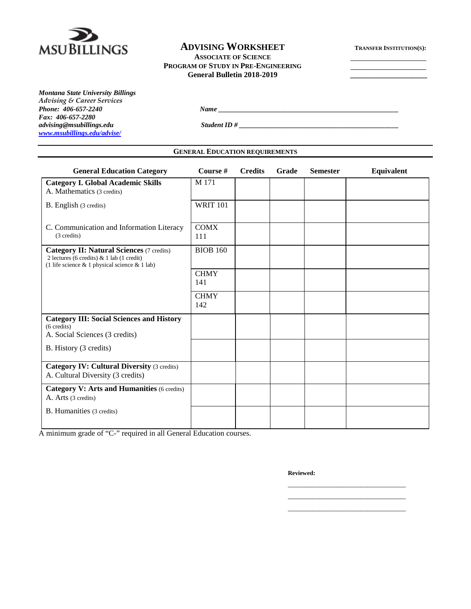

## **ADVISING WORKSHEET TRANSFER INSTITUTION(S):**

**ASSOCIATE OF SCIENCE PROGRAM OF STUDY IN PRE-ENGINEERING**

**General Bulletin 2018-2019 \_\_\_\_\_\_\_\_\_\_\_\_\_\_\_\_\_\_\_\_**

*Montana State University Billings Advising & Career Services Fax: 406-657-2280 [www.msubillings.edu/advise/](http://www.msubillings.edu/advise/)*

*Phone: 406-657-2240 Name \_\_\_\_\_\_\_\_\_\_\_\_\_\_\_\_\_\_\_\_\_\_\_\_\_\_\_\_\_\_\_\_\_\_\_\_\_\_\_\_\_\_\_\_\_\_\_\_\_\_\_\_*

*advising@msubillings.edu Student ID # \_\_\_\_\_\_\_\_\_\_\_\_\_\_\_\_\_\_\_\_\_\_\_\_\_\_\_\_\_\_\_\_\_\_\_\_\_\_\_\_\_\_\_\_\_\_*

**GENERAL EDUCATION REQUIREMENTS**

| <b>General Education Category</b>                                                                                                                     | Course #           | <b>Credits</b> | Grade | <b>Semester</b> | Equivalent |
|-------------------------------------------------------------------------------------------------------------------------------------------------------|--------------------|----------------|-------|-----------------|------------|
| <b>Category I. Global Academic Skills</b><br>A. Mathematics (3 credits)                                                                               | M 171              |                |       |                 |            |
| B. English (3 credits)                                                                                                                                | <b>WRIT 101</b>    |                |       |                 |            |
| C. Communication and Information Literacy<br>(3 credits)                                                                                              | <b>COMX</b><br>111 |                |       |                 |            |
| <b>Category II: Natural Sciences (7 credits)</b><br>2 lectures (6 credits) $\&$ 1 lab (1 credit)<br>(1 life science $& 1$ physical science $& 1$ lab) | <b>BIOB 160</b>    |                |       |                 |            |
|                                                                                                                                                       | <b>CHMY</b><br>141 |                |       |                 |            |
|                                                                                                                                                       | <b>CHMY</b><br>142 |                |       |                 |            |
| <b>Category III: Social Sciences and History</b><br>$(6 \text{ credits})$<br>A. Social Sciences (3 credits)                                           |                    |                |       |                 |            |
| B. History (3 credits)                                                                                                                                |                    |                |       |                 |            |
| <b>Category IV: Cultural Diversity (3 credits)</b><br>A. Cultural Diversity (3 credits)                                                               |                    |                |       |                 |            |
| <b>Category V: Arts and Humanities (6 credits)</b><br>A. Arts (3 credits)                                                                             |                    |                |       |                 |            |
| <b>B.</b> Humanities (3 credits)                                                                                                                      |                    |                |       |                 |            |

A minimum grade of "C-" required in all General Education courses.

**Reviewed:**

\_\_\_\_\_\_\_\_\_\_\_\_\_\_\_\_\_\_\_\_\_\_\_\_\_\_\_\_\_\_\_\_\_\_ \_\_\_\_\_\_\_\_\_\_\_\_\_\_\_\_\_\_\_\_\_\_\_\_\_\_\_\_\_\_\_\_\_\_ \_\_\_\_\_\_\_\_\_\_\_\_\_\_\_\_\_\_\_\_\_\_\_\_\_\_\_\_\_\_\_\_\_\_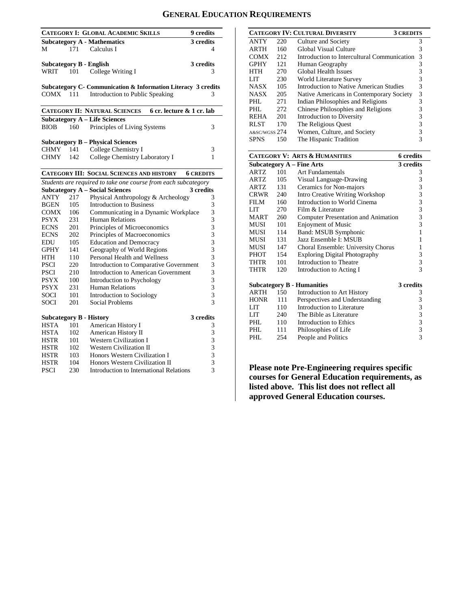# **GENERAL EDUCATION REQUIREMENTS**

|                                |     | <b>CATEGORY I: GLOBAL ACADEMIC SKILLS</b>                         | 9 credits        |
|--------------------------------|-----|-------------------------------------------------------------------|------------------|
|                                |     | <b>Subcategory A - Mathematics</b>                                | 3 credits        |
| М                              | 171 | Calculus I                                                        | 4                |
|                                |     |                                                                   |                  |
| <b>Subcategory B - English</b> |     |                                                                   | 3 credits        |
| WRIT                           | 101 | College Writing I                                                 | 3                |
|                                |     | Subcategory C- Communication & Information Literacy 3 credits     |                  |
| COMX.                          | 111 | Introduction to Public Speaking                                   | 3                |
|                                |     |                                                                   |                  |
|                                |     | 6 cr. lecture & 1 cr. lab<br><b>CATEGORY II: NATURAL SCIENCES</b> |                  |
|                                |     | <b>Subcategory A - Life Sciences</b>                              |                  |
| BIOB                           | 160 | Principles of Living Systems                                      | 3                |
|                                |     |                                                                   |                  |
|                                |     | <b>Subcategory B – Physical Sciences</b>                          |                  |
| CHMY                           | 141 | College Chemistry I                                               | 3                |
| CHMY                           | 142 | College Chemistry Laboratory I                                    | 1                |
|                                |     |                                                                   |                  |
|                                |     | <b>CATEGORY III: SOCIAL SCIENCES AND HISTORY</b>                  | <b>6 CREDITS</b> |
|                                |     | Students are required to take one course from each subcategory    |                  |
|                                |     | <b>Subcategory A - Social Sciences</b>                            | 3 credits        |
| ANTY                           | 217 | Physical Anthropology & Archeology                                | 3                |
| <b>BGEN</b>                    | 105 | <b>Introduction to Business</b>                                   | 3                |
| COMX                           | 106 | Communicating in a Dynamic Workplace                              | 3                |
| <b>PSYX</b>                    | 231 | Human Relations                                                   | 3                |
| ECNS                           | 201 | Principles of Microeconomics                                      | 3                |
| ECNS                           | 202 | Principles of Macroeconomics                                      | 3                |
| EDU                            | 105 | <b>Education and Democracy</b>                                    | 3                |
| <b>GPHY</b>                    | 141 | Geography of World Regions                                        | 3                |
| HTH                            | 110 | Personal Health and Wellness                                      | 3                |
| <b>PSCI</b>                    | 220 | Introduction to Comparative Government                            | 3                |
| <b>PSCI</b>                    | 210 | <b>Introduction to American Government</b>                        | 3                |
| PSYX                           | 100 | Introduction to Psychology                                        | 3                |
| PSYX                           | 231 | Human Relations                                                   | 3                |
| SOCI                           | 101 | <b>Introduction to Sociology</b>                                  | 3                |
| SOCI                           | 201 | Social Problems                                                   | 3                |
|                                |     |                                                                   |                  |
| <b>Subcategory B - History</b> |     |                                                                   | 3 credits        |
| <b>HSTA</b>                    | 101 | American History I                                                | 3                |
| HSTA                           | 102 | American History II                                               | 3                |
| HSTR                           | 101 | <b>Western Civilization I</b>                                     | 3                |
| HSTR                           | 102 | <b>Western Civilization II</b>                                    | 3                |
| <b>HSTR</b>                    | 103 | Honors Western Civilization I                                     | 3                |
| HSTR                           | 104 | Honors Western Civilization II                                    | 3                |
| <b>PSCI</b>                    | 230 | <b>Introduction to International Relations</b>                    | 3                |

| <b>CATEGORY IV: CULTURAL DIVERSITY</b><br><b>3 CREDITS</b> |      |                                             |   |  |  |
|------------------------------------------------------------|------|---------------------------------------------|---|--|--|
| <b>ANTY</b>                                                | 220  | Culture and Society                         | 3 |  |  |
| <b>ARTH</b>                                                | 160  | Global Visual Culture                       | 3 |  |  |
| <b>COMX</b>                                                | 2.12 | Introduction to Intercultural Communication | 3 |  |  |
| <b>GPHY</b>                                                | 121  | Human Geography                             | 3 |  |  |
| HTH                                                        | 270  | <b>Global Health Issues</b>                 | 3 |  |  |
| LIT                                                        | 230  | World Literature Survey                     | 3 |  |  |
| <b>NASX</b>                                                | 105  | Introduction to Native American Studies     | 3 |  |  |
| <b>NASX</b>                                                | 205  | Native Americans in Contemporary Society    | 3 |  |  |
| PHL                                                        | 271  | Indian Philosophies and Religions           | 3 |  |  |
| PHI.                                                       | 272  | Chinese Philosophies and Religions          | 3 |  |  |
| <b>REHA</b>                                                | 201  | Introduction to Diversity                   | 3 |  |  |
| <b>RLST</b>                                                | 170  | The Religious Ouest                         | 3 |  |  |
| A&SC/WGSS 274                                              |      | Women, Culture, and Society                 |   |  |  |
| <b>SPNS</b>                                                | 150  | The Hispanic Tradition                      |   |  |  |

|             |     | <b>CATEGORY V: ARTS &amp; HUMANITIES</b> | 6 credits                                       |
|-------------|-----|------------------------------------------|-------------------------------------------------|
|             |     | <b>Subcategory A - Fine Arts</b>         | 3 credits                                       |
| ARTZ.       | 101 | Art Fundamentals                         | 3                                               |
| ARTZ.       | 105 | Visual Language-Drawing                  | 3                                               |
| ARTZ        | 131 | Ceramics for Non-majors                  | 3                                               |
| CRWR        | 240 | <b>Intro Creative Writing Workshop</b>   | $\begin{array}{c} 3 \\ 3 \\ 3 \\ 3 \end{array}$ |
| FILM        | 160 | Introduction to World Cinema             |                                                 |
| LIT         | 270 | Film & Literature                        |                                                 |
| <b>MART</b> | 260 | Computer Presentation and Animation      |                                                 |
| MUSI        | 101 | <b>Enjoyment of Music</b>                |                                                 |
| MUSI        | 114 | Band: MSUB Symphonic                     | $\mathbf{1}$                                    |
| MUSI        | 131 | Jazz Ensemble I: MSUB                    | 1                                               |
| MUSI        | 147 | Choral Ensemble: University Chorus       | 1                                               |
| PHOT        | 154 | <b>Exploring Digital Photography</b>     | 3                                               |
| THTR        | 101 | Introduction to Theatre                  | 3                                               |
| THTR        | 120 | Introduction to Acting I                 | 3                                               |
|             |     | <b>Subcategory B - Humanities</b>        | 3 credits                                       |
| ARTH        | 150 | Introduction to Art History              | 3                                               |
| <b>HONR</b> | 111 | Perspectives and Understanding           | 3                                               |
| LIT         | 110 | Introduction to Literature               |                                                 |
| LIT         | 240 | The Bible as Literature                  |                                                 |
| PHI.        | 110 | Introduction to Ethics                   | $\begin{array}{c} 3 \\ 3 \\ 3 \end{array}$      |
| PHL.        | 111 | Philosophies of Life                     | 3                                               |
| PHI.        | 254 | People and Politics                      | $\overline{3}$                                  |

**Please note Pre-Engineering requires specific courses for General Education requirements, as listed above. This list does not reflect all approved General Education courses.**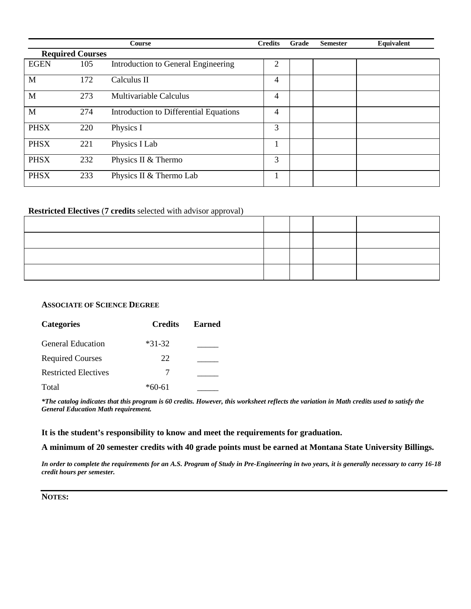|             |                         | Course                                 | <b>Credits</b> | Grade | <b>Semester</b> | Equivalent |
|-------------|-------------------------|----------------------------------------|----------------|-------|-----------------|------------|
|             | <b>Required Courses</b> |                                        |                |       |                 |            |
| <b>EGEN</b> | 105                     | Introduction to General Engineering    | 2              |       |                 |            |
| M           | 172                     | Calculus II                            | 4              |       |                 |            |
| M           | 273                     | Multivariable Calculus                 | 4              |       |                 |            |
| M           | 274                     | Introduction to Differential Equations | 4              |       |                 |            |
| <b>PHSX</b> | 220                     | Physics I                              | 3              |       |                 |            |
| <b>PHSX</b> | 221                     | Physics I Lab                          |                |       |                 |            |
| <b>PHSX</b> | 232                     | Physics II & Thermo                    | 3              |       |                 |            |
| <b>PHSX</b> | 233                     | Physics II & Thermo Lab                |                |       |                 |            |

## **Restricted Electives** (**7 credits** selected with advisor approval)

#### **ASSOCIATE OF SCIENCE DEGREE**

| <b>Categories</b>           | <b>Credits</b> | <b>Earned</b> |
|-----------------------------|----------------|---------------|
| <b>General Education</b>    | $*31-32$       |               |
| <b>Required Courses</b>     | 22             |               |
| <b>Restricted Electives</b> |                |               |
| Total                       | $*60-61$       |               |

*\*The catalog indicates that this program is 60 credits. However, this worksheet reflects the variation in Math credits used to satisfy the General Education Math requirement.*

#### **It is the student's responsibility to know and meet the requirements for graduation.**

**A minimum of 20 semester credits with 40 grade points must be earned at Montana State University Billings.**

*In order to complete the requirements for an A.S. Program of Study in Pre-Engineering in two years, it is generally necessary to carry 16-18 credit hours per semester.* 

**NOTES:**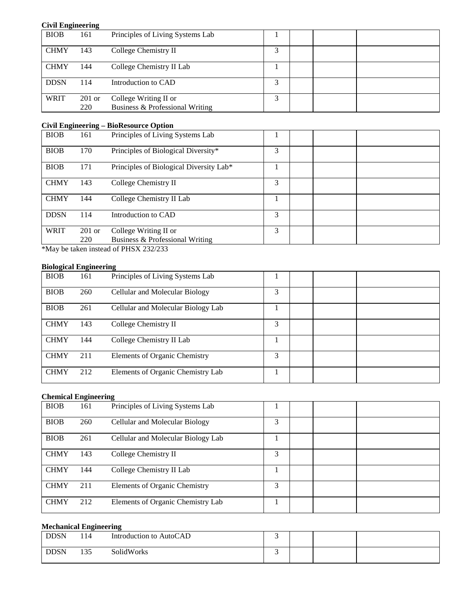| <b>Civil Engineering</b> |          |                                  |   |  |  |
|--------------------------|----------|----------------------------------|---|--|--|
| <b>BIOB</b>              | 161      | Principles of Living Systems Lab |   |  |  |
| <b>CHMY</b>              | 143      | College Chemistry II             | 3 |  |  |
| <b>CHMY</b>              | 144      | College Chemistry II Lab         |   |  |  |
| <b>DDSN</b>              | 114      | Introduction to CAD              | 3 |  |  |
| <b>WRIT</b>              | $201$ or | College Writing II or            | 3 |  |  |
|                          | 220      | Business & Professional Writing  |   |  |  |

## **Civil Engineering – BioResource Option**

| -- 0        |          |                                         |   |  |
|-------------|----------|-----------------------------------------|---|--|
| <b>BIOB</b> | 161      | Principles of Living Systems Lab        |   |  |
| <b>BIOB</b> | 170      | Principles of Biological Diversity*     | 3 |  |
| <b>BIOB</b> | 171      | Principles of Biological Diversity Lab* |   |  |
| <b>CHMY</b> | 143      | College Chemistry II                    | 3 |  |
| <b>CHMY</b> | 144      | College Chemistry II Lab                |   |  |
| <b>DDSN</b> | 114      | Introduction to CAD                     | 3 |  |
| <b>WRIT</b> | $201$ or | College Writing II or                   | 3 |  |
|             | 220      | Business & Professional Writing         |   |  |
|             |          |                                         |   |  |

\*May be taken instead of PHSX 232/233

## **Biological Engineering**

| $\cdots$    |     |                                      |   |  |
|-------------|-----|--------------------------------------|---|--|
| <b>BIOB</b> | 161 | Principles of Living Systems Lab     |   |  |
| <b>BIOB</b> | 260 | Cellular and Molecular Biology       | 3 |  |
| <b>BIOB</b> | 261 | Cellular and Molecular Biology Lab   |   |  |
| <b>CHMY</b> | 143 | College Chemistry II                 | 3 |  |
| <b>CHMY</b> | 144 | College Chemistry II Lab             |   |  |
| <b>CHMY</b> | 211 | <b>Elements of Organic Chemistry</b> | 3 |  |
| <b>CHMY</b> | 212 | Elements of Organic Chemistry Lab    |   |  |

#### **Chemical Engineering**

|             | $\frac{1}{2}$ |                                      |   |  |
|-------------|---------------|--------------------------------------|---|--|
| <b>BIOB</b> | 161           | Principles of Living Systems Lab     |   |  |
| <b>BIOB</b> | 260           | Cellular and Molecular Biology       | 3 |  |
| <b>BIOB</b> | 261           | Cellular and Molecular Biology Lab   |   |  |
| <b>CHMY</b> | 143           | College Chemistry II                 | 3 |  |
| <b>CHMY</b> | 144           | College Chemistry II Lab             |   |  |
| <b>CHMY</b> | 211           | <b>Elements of Organic Chemistry</b> | 3 |  |
| <b>CHMY</b> | 212           | Elements of Organic Chemistry Lab    |   |  |

## **Mechanical Engineering**

| <b>DDSN</b> | 114 | Introduction to AutoCAD |  |  |
|-------------|-----|-------------------------|--|--|
| <b>DDSN</b> | 135 | SolidWorks              |  |  |